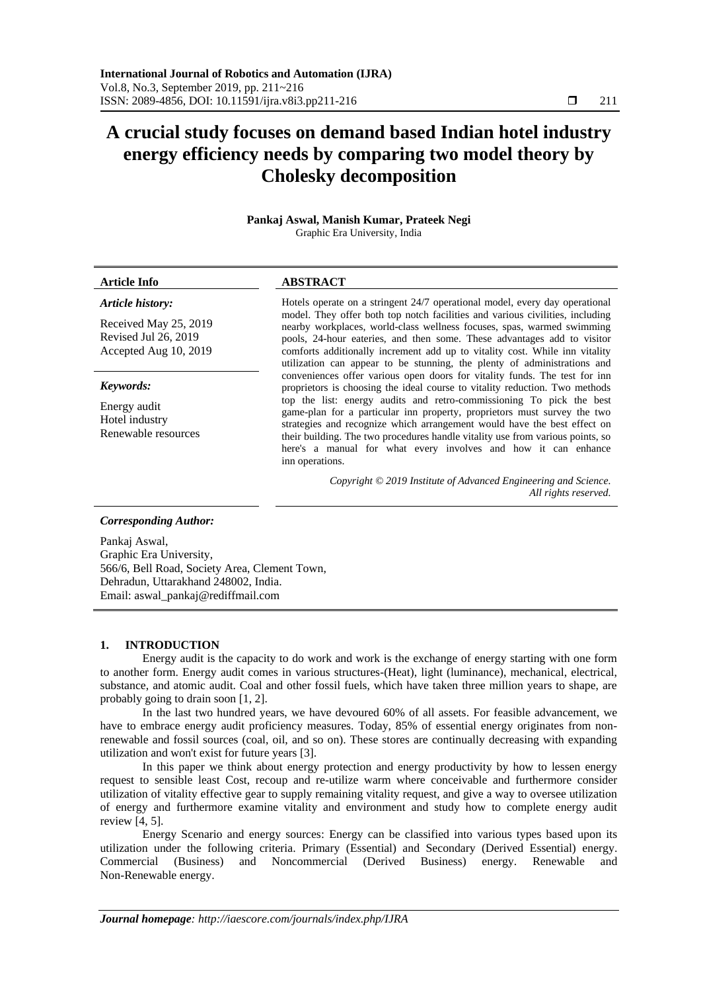# **A crucial study focuses on demand based Indian hotel industry energy efficiency needs by comparing two model theory by Cholesky decomposition**

**Pankaj Aswal, Manish Kumar, Prateek Negi** Graphic Era University, India

# **Article Info ABSTRACT**

*Article history:*

Received May 25, 2019 Revised Jul 26, 2019 Accepted Aug 10, 2019

#### *Keywords:*

Energy audit Hotel industry Renewable resources Hotels operate on a stringent 24/7 operational model, every day operational model. They offer both top notch facilities and various civilities, including nearby workplaces, world-class wellness focuses, spas, warmed swimming pools, 24-hour eateries, and then some. These advantages add to visitor comforts additionally increment add up to vitality cost. While inn vitality utilization can appear to be stunning, the plenty of administrations and conveniences offer various open doors for vitality funds. The test for inn proprietors is choosing the ideal course to vitality reduction. Two methods top the list: energy audits and retro-commissioning To pick the best game-plan for a particular inn property, proprietors must survey the two strategies and recognize which arrangement would have the best effect on their building. The two procedures handle vitality use from various points, so here's a manual for what every involves and how it can enhance inn operations.

> *Copyright © 2019 Institute of Advanced Engineering and Science. All rights reserved.*

#### *Corresponding Author:*

Pankaj Aswal, Graphic Era University, 566/6, Bell Road, Society Area, Clement Town, Dehradun, Uttarakhand 248002, India. Email: [aswal\\_pankaj@rediffmail.com](mailto:aswal_pankaj@rediffmail.com)

#### **1. INTRODUCTION**

Energy audit is the capacity to do work and work is the exchange of energy starting with one form to another form. Energy audit comes in various structures-(Heat), light (luminance), mechanical, electrical, substance, and atomic audit. Coal and other fossil fuels, which have taken three million years to shape, are probably going to drain soon [1, 2].

In the last two hundred years, we have devoured 60% of all assets. For feasible advancement, we have to embrace energy audit proficiency measures. Today, 85% of essential energy originates from nonrenewable and fossil sources (coal, oil, and so on). These stores are continually decreasing with expanding utilization and won't exist for future years [3].

In this paper we think about energy protection and energy productivity by how to lessen energy request to sensible least Cost, recoup and re-utilize warm where conceivable and furthermore consider utilization of vitality effective gear to supply remaining vitality request, and give a way to oversee utilization of energy and furthermore examine vitality and environment and study how to complete energy audit review [4, 5].

Energy Scenario and energy sources: Energy can be classified into various types based upon its utilization under the following criteria. Primary (Essential) and Secondary (Derived Essential) energy. Commercial (Business) and Noncommercial (Derived Business) energy. Renewable and Non-Renewable energy.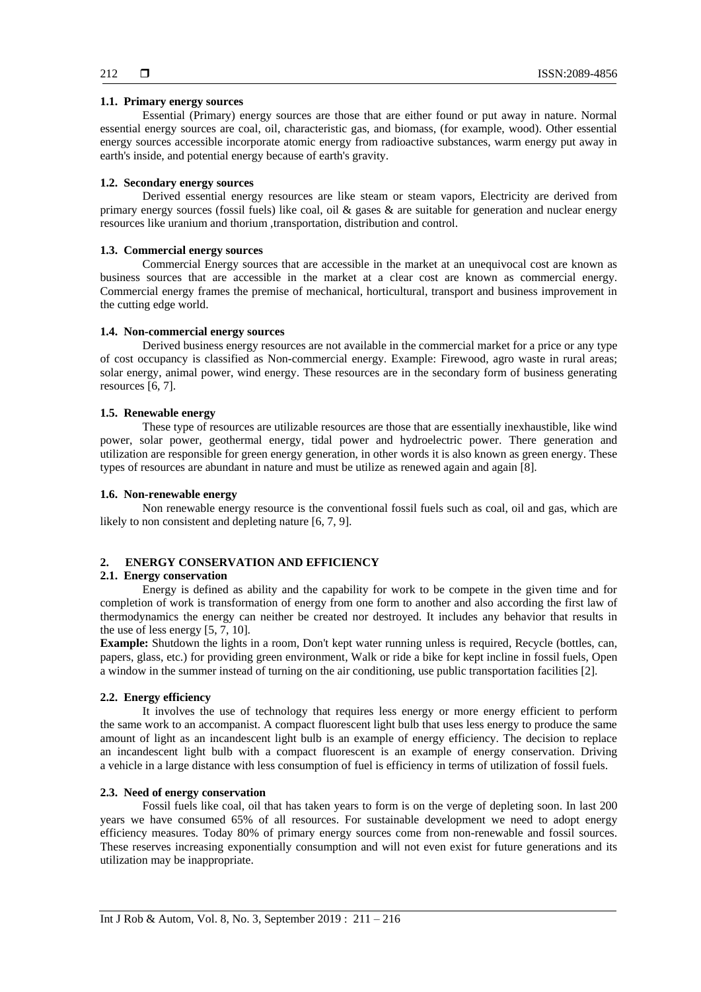# **1.1. Primary energy sources**

Essential (Primary) energy sources are those that are either found or put away in nature. Normal essential energy sources are coal, oil, characteristic gas, and biomass, (for example, wood). Other essential energy sources accessible incorporate atomic energy from radioactive substances, warm energy put away in earth's inside, and potential energy because of earth's gravity.

# **1.2. Secondary energy sources**

Derived essential energy resources are like steam or steam vapors, Electricity are derived from primary energy sources (fossil fuels) like coal, oil & gases & are suitable for generation and nuclear energy resources like uranium and thorium ,transportation, distribution and control.

# **1.3. Commercial energy sources**

Commercial Energy sources that are accessible in the market at an unequivocal cost are known as business sources that are accessible in the market at a clear cost are known as commercial energy. Commercial energy frames the premise of mechanical, horticultural, transport and business improvement in the cutting edge world.

# **1.4. Non-commercial energy sources**

Derived business energy resources are not available in the commercial market for a price or any type of cost occupancy is classified as Non-commercial energy. Example: Firewood, agro waste in rural areas; solar energy, animal power, wind energy. These resources are in the secondary form of business generating resources [6, 7].

# **1.5. Renewable energy**

These type of resources are utilizable resources are those that are essentially inexhaustible, like wind power, solar power, geothermal energy, tidal power and hydroelectric power. There generation and utilization are responsible for green energy generation, in other words it is also known as green energy. These types of resources are abundant in nature and must be utilize as renewed again and again [8].

# **1.6. Non-renewable energy**

Non renewable energy resource is the conventional fossil fuels such as coal, oil and gas, which are likely to non consistent and depleting nature [6, 7, 9].

# **2. ENERGY CONSERVATION AND EFFICIENCY**

# **2.1. Energy conservation**

Energy is defined as ability and the capability for work to be compete in the given time and for completion of work is transformation of energy from one form to another and also according the first law of thermodynamics the energy can neither be created nor destroyed. It includes any behavior that results in the use of less energy [5, 7, 10].

**Example:** Shutdown the lights in a room, Don't kept water running unless is required, Recycle (bottles, can, papers, glass, etc.) for providing green environment, Walk or ride a bike for kept incline in fossil fuels, Open a window in the summer instead of turning on the air conditioning, use public transportation facilities [2].

# **2.2. Energy efficiency**

It involves the use of technology that requires less energy or more energy efficient to perform the same work to an accompanist. A compact fluorescent light bulb that uses less energy to produce the same amount of light as an incandescent light bulb is an example of energy efficiency. The decision to replace an incandescent light bulb with a compact fluorescent is an example of energy conservation. Driving a vehicle in a large distance with less consumption of fuel is efficiency in terms of utilization of fossil fuels.

#### **2.3. Need of energy conservation**

Fossil fuels like coal, oil that has taken years to form is on the verge of depleting soon. In last 200 years we have consumed 65% of all resources. For sustainable development we need to adopt energy efficiency measures. Today 80% of primary energy sources come from non-renewable and fossil sources. These reserves increasing exponentially consumption and will not even exist for future generations and its utilization may be inappropriate.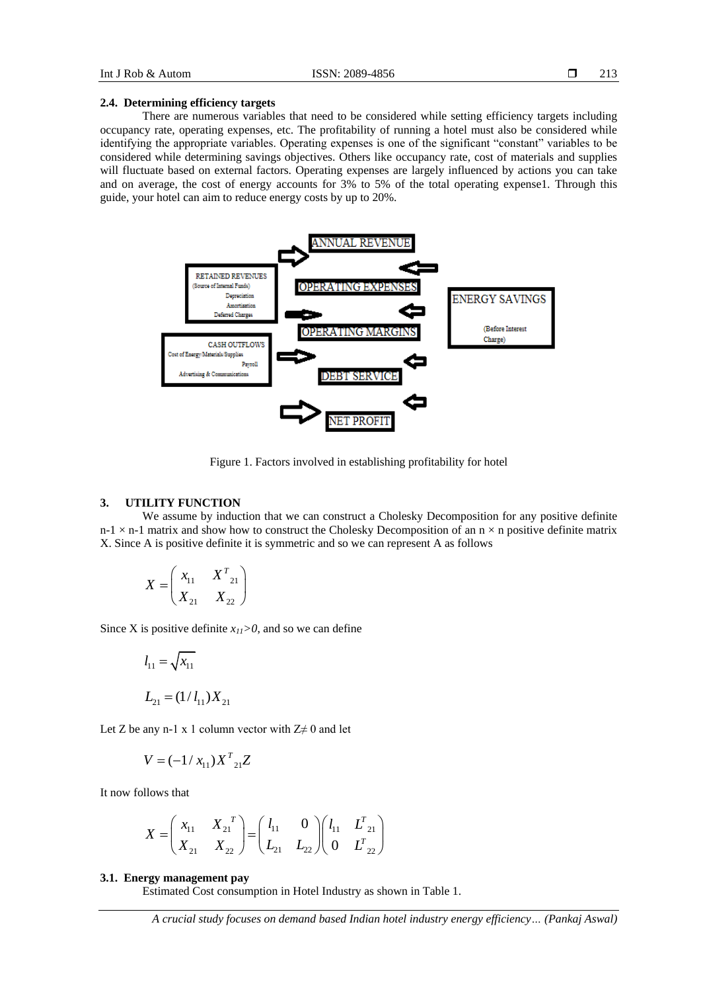#### **2.4. Determining efficiency targets**

There are numerous variables that need to be considered while setting efficiency targets including occupancy rate, operating expenses, etc. The profitability of running a hotel must also be considered while identifying the appropriate variables. Operating expenses is one of the significant "constant" variables to be considered while determining savings objectives. Others like occupancy rate, cost of materials and supplies will fluctuate based on external factors. Operating expenses are largely influenced by actions you can take and on average, the cost of energy accounts for 3% to 5% of the total operating expense1. Through this guide, your hotel can aim to reduce energy costs by up to 20%.



Figure 1. Factors involved in establishing profitability for hotel

# **3. UTILITY FUNCTION**

We assume by induction that we can construct a Cholesky Decomposition for any positive definite  $n-1 \times n-1$  matrix and show how to construct the Cholesky Decomposition of an  $n \times n$  positive definite matrix X. Since A is positive definite it is symmetric and so we can represent A as follows

$$
X = \begin{pmatrix} x_{11} & X_{21}^T \\ X_{21} & X_{22} \end{pmatrix}
$$

Since X is positive definite  $x_{11} > 0$ , and so we can define

$$
l_{11} = \sqrt{x_{11}}
$$
  

$$
L_{21} = (1/l_{11})X_{21}
$$

Let Z be any n-1 x 1 column vector with  $Z \neq 0$  and let

$$
V = (-1 / x_{11}) X^{T}_{21} Z
$$

It now follows that

Now that  

$$
X = \begin{pmatrix} x_{11} & X_{21}^T \ X_{21} & X_{22} \end{pmatrix} = \begin{pmatrix} l_{11} & 0 \ L_{21} & L_{22} \end{pmatrix} \begin{pmatrix} l_{11} & L_{21}^T \ 0 & L_{22}^T \end{pmatrix}
$$

#### **3.1. Energy management pay**

Estimated Cost consumption in Hotel Industry as shown in Table 1.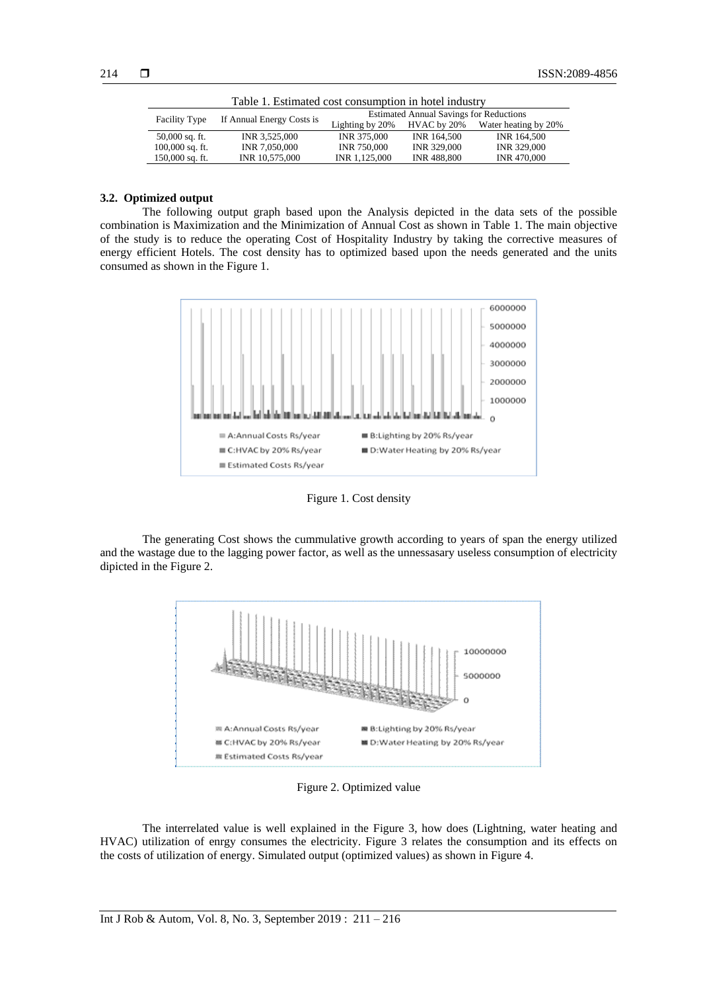| Table 1. Estimated cost consumption in hotel industry |                           |                                                |                    |                      |  |  |  |
|-------------------------------------------------------|---------------------------|------------------------------------------------|--------------------|----------------------|--|--|--|
| <b>Facility Type</b>                                  | If Annual Energy Costs is | <b>Estimated Annual Savings for Reductions</b> |                    |                      |  |  |  |
|                                                       |                           | Lighting by 20%                                | HVAC by 20%        | Water heating by 20% |  |  |  |
| $50,000$ sq. ft.                                      | INR 3.525,000             | INR 375,000                                    | INR 164,500        | INR 164.500          |  |  |  |
| $100,000$ sq. ft.                                     | INR 7.050,000             | <b>INR 750,000</b>                             | INR 329,000        | INR 329,000          |  |  |  |
| $150,000$ sq. ft.                                     | INR 10,575,000            | INR 1.125,000                                  | <b>INR 488,800</b> | <b>INR 470,000</b>   |  |  |  |

# **3.2. Optimized output**

The following output graph based upon the Analysis depicted in the data sets of the possible combination is Maximization and the Minimization of Annual Cost as shown in Table 1. The main objective of the study is to reduce the operating Cost of Hospitality Industry by taking the corrective measures of energy efficient Hotels. The cost density has to optimized based upon the needs generated and the units consumed as shown in the Figure 1.



Figure 1. Cost density

The generating Cost shows the cummulative growth according to years of span the energy utilized and the wastage due to the lagging power factor, as well as the unnessasary useless consumption of electricity dipicted in the Figure 2.



Figure 2. Optimized value

The interrelated value is well explained in the Figure 3, how does (Lightning, water heating and HVAC) utilization of enrgy consumes the electricity. Figure 3 relates the consumption and its effects on the costs of utilization of energy. Simulated output (optimized values) as shown in Figure 4.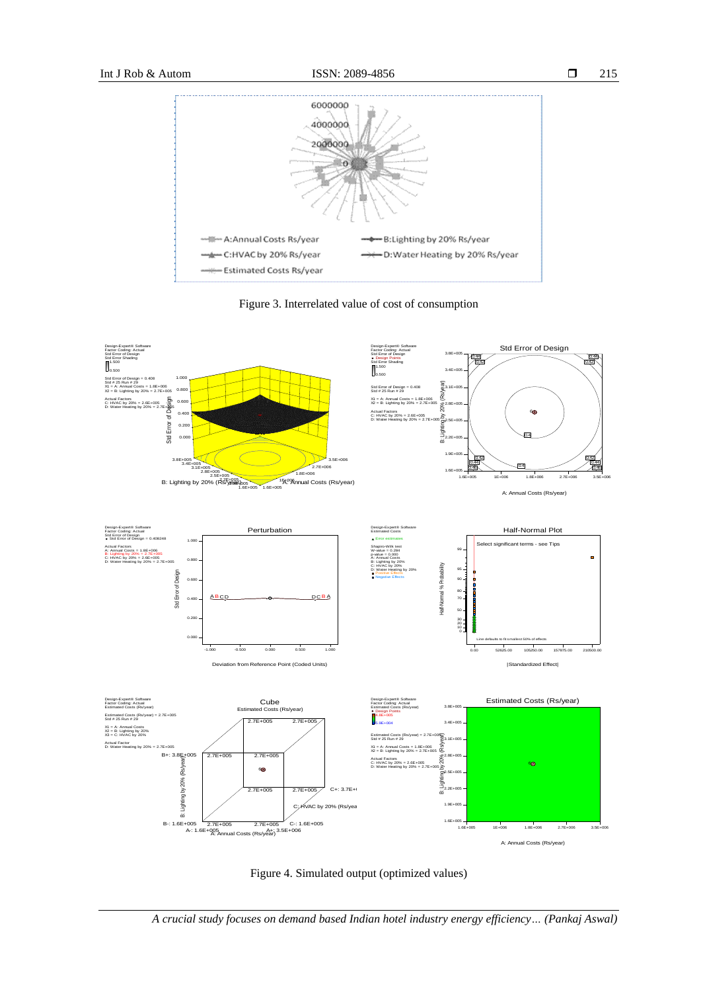





Figure 4. Simulated output (optimized values)